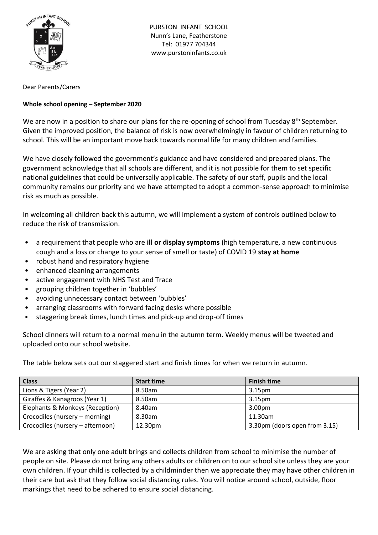

PURSTON INFANT SCHOOL Nunn's Lane, Featherstone Tel: 01977 704344 www.purstoninfants.co.uk

Dear Parents/Carers

## **Whole school opening – September 2020**

We are now in a position to share our plans for the re-opening of school from Tuesday 8<sup>th</sup> September. Given the improved position, the balance of risk is now overwhelmingly in favour of children returning to school. This will be an important move back towards normal life for many children and families.

We have closely followed the government's guidance and have considered and prepared plans. The government acknowledge that all schools are different, and it is not possible for them to set specific national guidelines that could be universally applicable. The safety of our staff, pupils and the local community remains our priority and we have attempted to adopt a common-sense approach to minimise risk as much as possible.

In welcoming all children back this autumn, we will implement a system of controls outlined below to reduce the risk of transmission.

- a requirement that people who are **ill or display symptoms** (high temperature, a new continuous cough and a loss or change to your sense of smell or taste) of COVID 19 **stay at home**
- robust hand and respiratory hygiene
- enhanced cleaning arrangements
- active engagement with NHS Test and Trace
- grouping children together in 'bubbles'
- avoiding unnecessary contact between 'bubbles'
- arranging classrooms with forward facing desks where possible
- staggering break times, lunch times and pick-up and drop-off times

School dinners will return to a normal menu in the autumn term. Weekly menus will be tweeted and uploaded onto our school website.

The table below sets out our staggered start and finish times for when we return in autumn.

| <b>Class</b>                     | <b>Start time</b> | <b>Finish time</b>            |
|----------------------------------|-------------------|-------------------------------|
| Lions & Tigers (Year 2)          | 8.50am            | 3.15 <sub>pm</sub>            |
| Giraffes & Kanagroos (Year 1)    | 8.50am            | 3.15 <sub>pm</sub>            |
| Elephants & Monkeys (Reception)  | 8.40am            | 3.00pm                        |
| Crocodiles (nursery – morning)   | 8.30am            | 11.30am                       |
| Crocodiles (nursery – afternoon) | 12.30pm           | 3.30pm (doors open from 3.15) |

We are asking that only one adult brings and collects children from school to minimise the number of people on site. Please do not bring any others adults or children on to our school site unless they are your own children. If your child is collected by a childminder then we appreciate they may have other children in their care but ask that they follow social distancing rules. You will notice around school, outside, floor markings that need to be adhered to ensure social distancing.